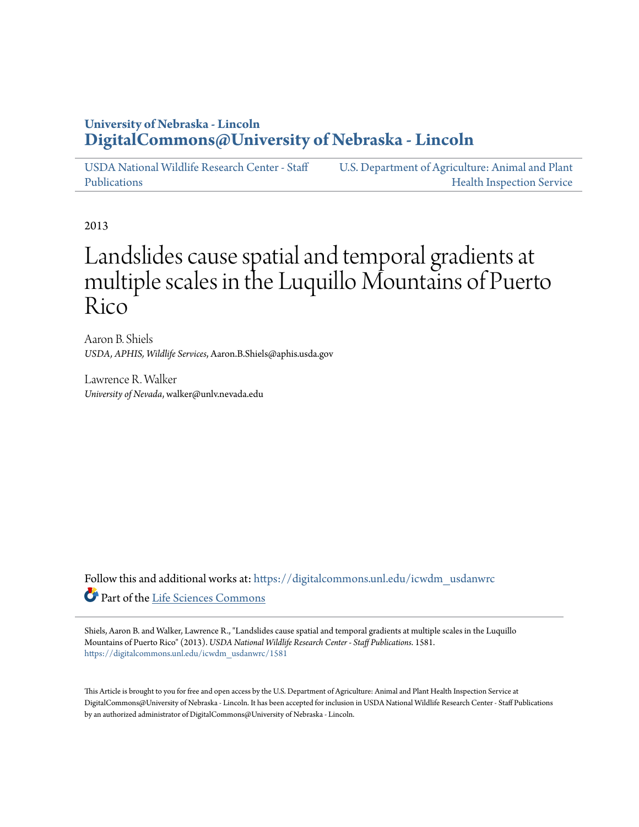# **University of Nebraska - Lincoln [DigitalCommons@University of Nebraska - Lincoln](https://digitalcommons.unl.edu?utm_source=digitalcommons.unl.edu%2Ficwdm_usdanwrc%2F1581&utm_medium=PDF&utm_campaign=PDFCoverPages)**

[USDA National Wildlife Research Center - Staff](https://digitalcommons.unl.edu/icwdm_usdanwrc?utm_source=digitalcommons.unl.edu%2Ficwdm_usdanwrc%2F1581&utm_medium=PDF&utm_campaign=PDFCoverPages) [Publications](https://digitalcommons.unl.edu/icwdm_usdanwrc?utm_source=digitalcommons.unl.edu%2Ficwdm_usdanwrc%2F1581&utm_medium=PDF&utm_campaign=PDFCoverPages) [U.S. Department of Agriculture: Animal and Plant](https://digitalcommons.unl.edu/usdaaphis?utm_source=digitalcommons.unl.edu%2Ficwdm_usdanwrc%2F1581&utm_medium=PDF&utm_campaign=PDFCoverPages) [Health Inspection Service](https://digitalcommons.unl.edu/usdaaphis?utm_source=digitalcommons.unl.edu%2Ficwdm_usdanwrc%2F1581&utm_medium=PDF&utm_campaign=PDFCoverPages)

2013

# Landslides cause spatial and temporal gradients at multiple scales in the Luquillo Mountains of Puerto Rico

Aaron B. Shiels *USDA, APHIS, Wildlife Services*, Aaron.B.Shiels@aphis.usda.gov

Lawrence R. Walker *University of Nevada*, walker@unlv.nevada.edu

Follow this and additional works at: [https://digitalcommons.unl.edu/icwdm\\_usdanwrc](https://digitalcommons.unl.edu/icwdm_usdanwrc?utm_source=digitalcommons.unl.edu%2Ficwdm_usdanwrc%2F1581&utm_medium=PDF&utm_campaign=PDFCoverPages) Part of the [Life Sciences Commons](http://network.bepress.com/hgg/discipline/1016?utm_source=digitalcommons.unl.edu%2Ficwdm_usdanwrc%2F1581&utm_medium=PDF&utm_campaign=PDFCoverPages)

Shiels, Aaron B. and Walker, Lawrence R., "Landslides cause spatial and temporal gradients at multiple scales in the Luquillo Mountains of Puerto Rico" (2013). *USDA National Wildlife Research Center - Staff Publications*. 1581. [https://digitalcommons.unl.edu/icwdm\\_usdanwrc/1581](https://digitalcommons.unl.edu/icwdm_usdanwrc/1581?utm_source=digitalcommons.unl.edu%2Ficwdm_usdanwrc%2F1581&utm_medium=PDF&utm_campaign=PDFCoverPages)

This Article is brought to you for free and open access by the U.S. Department of Agriculture: Animal and Plant Health Inspection Service at DigitalCommons@University of Nebraska - Lincoln. It has been accepted for inclusion in USDA National Wildlife Research Center - Staff Publications by an authorized administrator of DigitalCommons@University of Nebraska - Lincoln.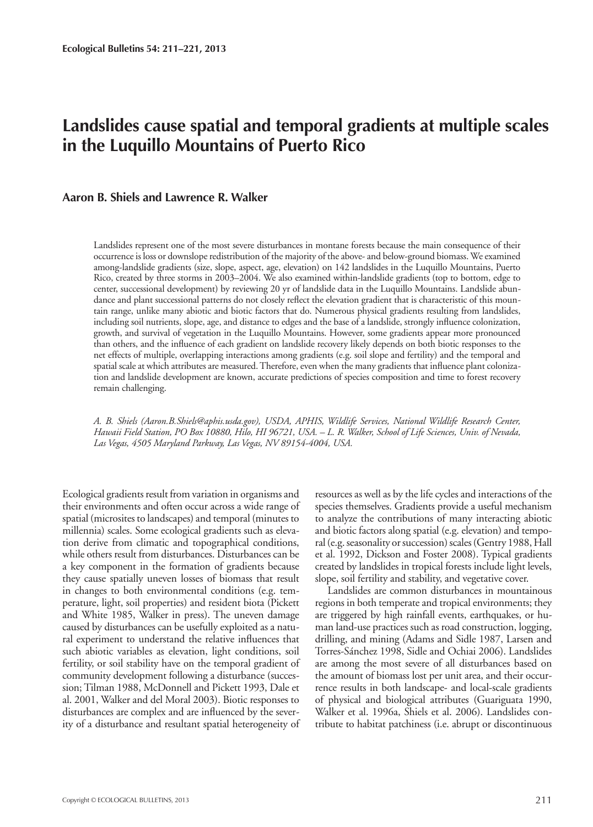# **Landslides cause spatial and temporal gradients at multiple scales in the Luquillo Mountains of Puerto Rico**

#### **Aaron B. Shiels and Lawrence R. Walker**

Landslides represent one of the most severe disturbances in montane forests because the main consequence of their occurrence is loss or downslope redistribution of the majority of the above- and below-ground biomass. We examined among-landslide gradients (size, slope, aspect, age, elevation) on 142 landslides in the Luquillo Mountains, Puerto Rico, created by three storms in 2003–2004. We also examined within-landslide gradients (top to bottom, edge to center, successional development) by reviewing 20 yr of landslide data in the Luquillo Mountains. Landslide abundance and plant successional patterns do not closely reflect the elevation gradient that is characteristic of this mountain range, unlike many abiotic and biotic factors that do. Numerous physical gradients resulting from landslides, including soil nutrients, slope, age, and distance to edges and the base of a landslide, strongly influence colonization, growth, and survival of vegetation in the Luquillo Mountains. However, some gradients appear more pronounced than others, and the influence of each gradient on landslide recovery likely depends on both biotic responses to the net effects of multiple, overlapping interactions among gradients (e.g. soil slope and fertility) and the temporal and spatial scale at which attributes are measured. Therefore, even when the many gradients that influence plant colonization and landslide development are known, accurate predictions of species composition and time to forest recovery remain challenging.

*A. B. Shiels (Aaron.B.Shiels@aphis.usda.gov), USDA, APHIS, Wildlife Services, National Wildlife Research Center, Hawaii Field Station, PO Box 10880, Hilo, HI 96721, USA. – L. R. Walker, School of Life Sciences, Univ. of Nevada, Las Vegas, 4505 Maryland Parkway, Las Vegas, NV 89154-4004, USA.*

Ecological gradients result from variation in organisms and their environments and often occur across a wide range of spatial (microsites to landscapes) and temporal (minutes to millennia) scales. Some ecological gradients such as elevation derive from climatic and topographical conditions, while others result from disturbances. Disturbances can be a key component in the formation of gradients because they cause spatially uneven losses of biomass that result in changes to both environmental conditions (e.g. temperature, light, soil properties) and resident biota (Pickett and White 1985, Walker in press). The uneven damage caused by disturbances can be usefully exploited as a natural experiment to understand the relative influences that such abiotic variables as elevation, light conditions, soil fertility, or soil stability have on the temporal gradient of community development following a disturbance (succession; Tilman 1988, McDonnell and Pickett 1993, Dale et al. 2001, Walker and del Moral 2003). Biotic responses to disturbances are complex and are influenced by the severity of a disturbance and resultant spatial heterogeneity of

resources as well as by the life cycles and interactions of the species themselves. Gradients provide a useful mechanism to analyze the contributions of many interacting abiotic and biotic factors along spatial (e.g. elevation) and temporal (e.g. seasonality or succession) scales (Gentry 1988, Hall et al. 1992, Dickson and Foster 2008). Typical gradients created by landslides in tropical forests include light levels, slope, soil fertility and stability, and vegetative cover.

Landslides are common disturbances in mountainous regions in both temperate and tropical environments; they are triggered by high rainfall events, earthquakes, or human land-use practices such as road construction, logging, drilling, and mining (Adams and Sidle 1987, Larsen and Torres-Sánchez 1998, Sidle and Ochiai 2006). Landslides are among the most severe of all disturbances based on the amount of biomass lost per unit area, and their occurrence results in both landscape- and local-scale gradients of physical and biological attributes (Guariguata 1990, Walker et al. 1996a, Shiels et al. 2006). Landslides contribute to habitat patchiness (i.e. abrupt or discontinuous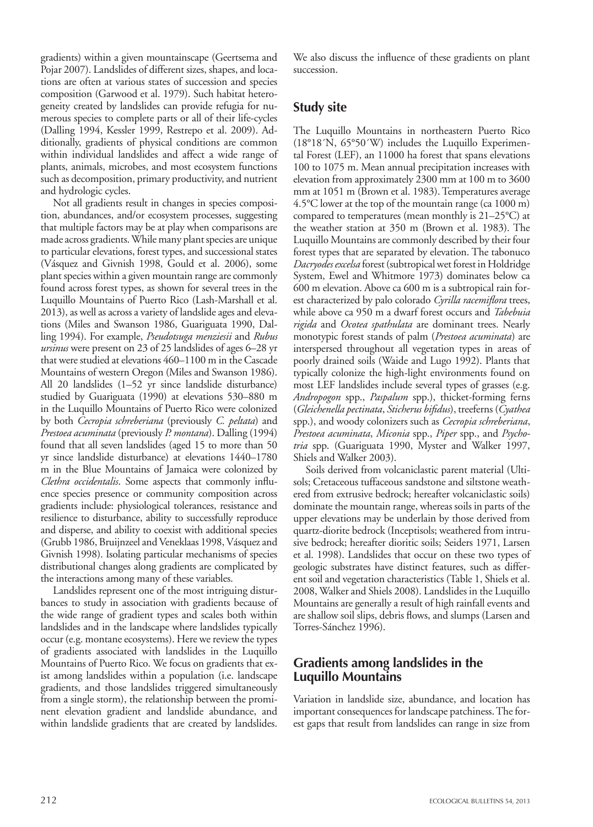gradients) within a given mountainscape (Geertsema and Pojar 2007). Landslides of different sizes, shapes, and locations are often at various states of succession and species composition (Garwood et al. 1979). Such habitat heterogeneity created by landslides can provide refugia for numerous species to complete parts or all of their life-cycles (Dalling 1994, Kessler 1999, Restrepo et al. 2009). Additionally, gradients of physical conditions are common within individual landslides and affect a wide range of plants, animals, microbes, and most ecosystem functions such as decomposition, primary productivity, and nutrient and hydrologic cycles.

Not all gradients result in changes in species composition, abundances, and/or ecosystem processes, suggesting that multiple factors may be at play when comparisons are made across gradients. While many plant species are unique to particular elevations, forest types, and successional states (Vásquez and Givnish 1998, Gould et al. 2006), some plant species within a given mountain range are commonly found across forest types, as shown for several trees in the Luquillo Mountains of Puerto Rico (Lash-Marshall et al. 2013), as well as across a variety of landslide ages and elevations (Miles and Swanson 1986, Guariguata 1990, Dalling 1994). For example, *Pseudotsuga menziesii* and *Rubus ursinus* were present on 23 of 25 landslides of ages 6–28 yr that were studied at elevations 460–1100 m in the Cascade Mountains of western Oregon (Miles and Swanson 1986). All 20 landslides (1–52 yr since landslide disturbance) studied by Guariguata (1990) at elevations 530–880 m in the Luquillo Mountains of Puerto Rico were colonized by both *Cecropia schreberiana* (previously *C. peltata*) and *Prestoea acuminata* (previously *P. montana*). Dalling (1994) found that all seven landslides (aged 15 to more than 50 yr since landslide disturbance) at elevations 1440–1780 m in the Blue Mountains of Jamaica were colonized by *Clethra occidentalis*. Some aspects that commonly influence species presence or community composition across gradients include: physiological tolerances, resistance and resilience to disturbance, ability to successfully reproduce and disperse, and ability to coexist with additional species (Grubb 1986, Bruijnzeel and Veneklaas 1998, Vásquez and Givnish 1998). Isolating particular mechanisms of species distributional changes along gradients are complicated by the interactions among many of these variables.

Landslides represent one of the most intriguing disturbances to study in association with gradients because of the wide range of gradient types and scales both within landslides and in the landscape where landslides typically occur (e.g. montane ecosystems). Here we review the types of gradients associated with landslides in the Luquillo Mountains of Puerto Rico. We focus on gradients that exist among landslides within a population (i.e. landscape gradients, and those landslides triggered simultaneously from a single storm), the relationship between the prominent elevation gradient and landslide abundance, and within landslide gradients that are created by landslides.

We also discuss the influence of these gradients on plant succession.

## **Study site**

The Luquillo Mountains in northeastern Puerto Rico (18°18´N, 65°50´W) includes the Luquillo Experimental Forest (LEF), an 11000 ha forest that spans elevations 100 to 1075 m. Mean annual precipitation increases with elevation from approximately 2300 mm at 100 m to 3600 mm at 1051 m (Brown et al. 1983). Temperatures average 4.5°C lower at the top of the mountain range (ca 1000 m) compared to temperatures (mean monthly is 21–25°C) at the weather station at 350 m (Brown et al. 1983). The Luquillo Mountains are commonly described by their four forest types that are separated by elevation. The tabonuco *Dacryodes excelsa* forest (subtropical wet forest in Holdridge System, Ewel and Whitmore 1973) dominates below ca 600 m elevation. Above ca 600 m is a subtropical rain forest characterized by palo colorado *Cyrilla racemiflora* trees, while above ca 950 m a dwarf forest occurs and *Tabebuia rigida* and *Ocotea spathulata* are dominant trees. Nearly monotypic forest stands of palm (*Prestoea acuminata*) are interspersed throughout all vegetation types in areas of poorly drained soils (Waide and Lugo 1992). Plants that typically colonize the high-light environments found on most LEF landslides include several types of grasses (e.g. *Andropogon* spp., *Paspalum* spp.), thicket-forming ferns (*Gleichenella pectinata*, *Sticherus bifidus*), treeferns (*Cyathea*  spp.), and woody colonizers such as *Cecropia schreberiana*, *Prestoea acuminata*, *Miconia* spp., *Piper* spp., and *Psychotria* spp. (Guariguata 1990, Myster and Walker 1997, Shiels and Walker 2003).

Soils derived from volcaniclastic parent material (Ultisols; Cretaceous tuffaceous sandstone and siltstone weathered from extrusive bedrock; hereafter volcaniclastic soils) dominate the mountain range, whereas soils in parts of the upper elevations may be underlain by those derived from quartz-diorite bedrock (Inceptisols; weathered from intrusive bedrock; hereafter dioritic soils; Seiders 1971, Larsen et al. 1998). Landslides that occur on these two types of geologic substrates have distinct features, such as different soil and vegetation characteristics (Table 1, Shiels et al. 2008, Walker and Shiels 2008). Landslides in the Luquillo Mountains are generally a result of high rainfall events and are shallow soil slips, debris flows, and slumps (Larsen and Torres-Sánchez 1996).

# **Gradients among landslides in the Luquillo Mountains**

Variation in landslide size, abundance, and location has important consequences for landscape patchiness. The forest gaps that result from landslides can range in size from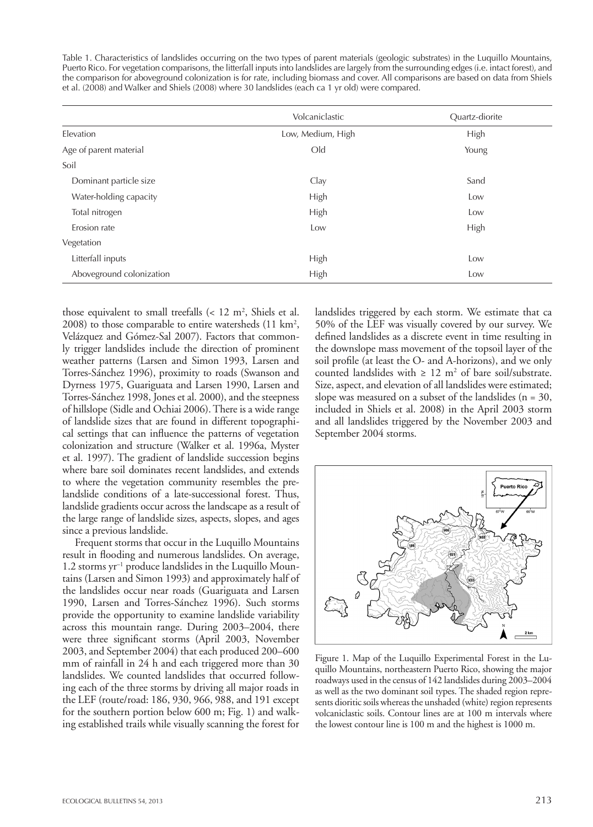Table 1. Characteristics of landslides occurring on the two types of parent materials (geologic substrates) in the Luquillo Mountains, Puerto Rico. For vegetation comparisons, the litterfall inputs into landslides are largely from the surrounding edges (i.e. intact forest), and the comparison for aboveground colonization is for rate, including biomass and cover. All comparisons are based on data from Shiels et al. (2008) and Walker and Shiels (2008) where 30 landslides (each ca 1 yr old) were compared.

|                          | Volcaniclastic    | Quartz-diorite |
|--------------------------|-------------------|----------------|
| Elevation                | Low, Medium, High | High           |
| Age of parent material   | O <sub>Id</sub>   | Young          |
| Soil                     |                   |                |
| Dominant particle size   | Clay              | Sand           |
| Water-holding capacity   | High              | Low            |
| Total nitrogen           | High              | Low            |
| Erosion rate             | Low               | High           |
| Vegetation               |                   |                |
| Litterfall inputs        | High              | Low            |
| Aboveground colonization | High              | Low            |

those equivalent to small treefalls  $\left($  < 12 m<sup>2</sup>, Shiels et al. 2008) to those comparable to entire watersheds (11 km2 , Velázquez and Gómez-Sal 2007). Factors that commonly trigger landslides include the direction of prominent weather patterns (Larsen and Simon 1993, Larsen and Torres-Sánchez 1996), proximity to roads (Swanson and Dyrness 1975, Guariguata and Larsen 1990, Larsen and Torres-Sánchez 1998, Jones et al. 2000), and the steepness of hillslope (Sidle and Ochiai 2006). There is a wide range of landslide sizes that are found in different topographical settings that can influence the patterns of vegetation colonization and structure (Walker et al. 1996a, Myster et al. 1997). The gradient of landslide succession begins where bare soil dominates recent landslides, and extends to where the vegetation community resembles the prelandslide conditions of a late-successional forest. Thus, landslide gradients occur across the landscape as a result of the large range of landslide sizes, aspects, slopes, and ages since a previous landslide.

Frequent storms that occur in the Luquillo Mountains result in flooding and numerous landslides. On average, 1.2 storms yr–1 produce landslides in the Luquillo Mountains (Larsen and Simon 1993) and approximately half of the landslides occur near roads (Guariguata and Larsen 1990, Larsen and Torres-Sánchez 1996). Such storms provide the opportunity to examine landslide variability across this mountain range. During 2003–2004, there were three significant storms (April 2003, November 2003, and September 2004) that each produced 200–600 mm of rainfall in 24 h and each triggered more than 30 landslides. We counted landslides that occurred following each of the three storms by driving all major roads in the LEF (route/road: 186, 930, 966, 988, and 191 except for the southern portion below 600 m; Fig. 1) and walking established trails while visually scanning the forest for

landslides triggered by each storm. We estimate that ca 50% of the LEF was visually covered by our survey. We defined landslides as a discrete event in time resulting in the downslope mass movement of the topsoil layer of the soil profile (at least the O- and A-horizons), and we only counted landslides with  $\geq 12$  m<sup>2</sup> of bare soil/substrate. Size, aspect, and elevation of all landslides were estimated; slope was measured on a subset of the landslides ( $n = 30$ , included in Shiels et al. 2008) in the April 2003 storm and all landslides triggered by the November 2003 and September 2004 storms.



Figure 1. Map of the Luquillo Experimental Forest in the Luquillo Mountains, northeastern Puerto Rico, showing the major roadways used in the census of 142 landslides during 2003–2004 as well as the two dominant soil types. The shaded region represents dioritic soils whereas the unshaded (white) region represents volcaniclastic soils. Contour lines are at 100 m intervals where the lowest contour line is 100 m and the highest is 1000 m.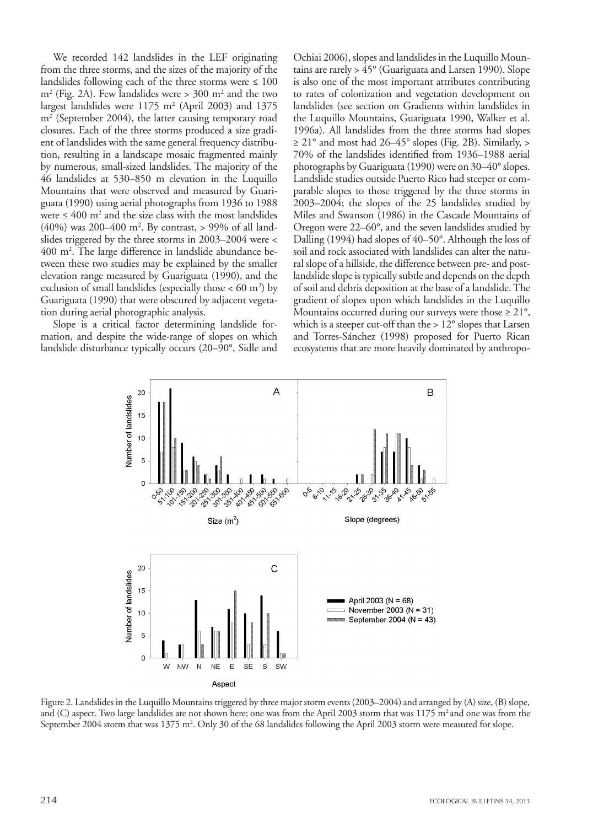We recorded 142 landslides in the LEF originating from the three storms, and the sizes of the majority of the landslides following each of the three storms were  $\leq 100$ m2 (Fig. 2A). Few landslides were > 300 m2 and the two largest landslides were 1175 m2 (April 2003) and 1375 m2 (September 2004), the latter causing temporary road closures. Each of the three storms produced a size gradient of landslides with the same general frequency distribution, resulting in a landscape mosaic fragmented mainly by numerous, small-sized landslides. The majority of the 46 landslides at 530–850 m elevation in the Luquillo Mountains that were observed and measured by Guariguata (1990) using aerial photographs from 1936 to 1988 were  $\leq 400$  m<sup>2</sup> and the size class with the most landslides (40%) was 200–400 m2 . By contrast, > 99% of all landslides triggered by the three storms in 2003–2004 were < 400 m2 . The large difference in landslide abundance between these two studies may be explained by the smaller elevation range measured by Guariguata (1990), and the exclusion of small landslides (especially those  $< 60 \text{ m}^2$ ) by Guariguata (1990) that were obscured by adjacent vegetation during aerial photographic analysis.

Slope is a critical factor determining landslide formation, and despite the wide-range of slopes on which landslide disturbance typically occurs (20–90°, Sidle and Ochiai 2006), slopes and landslides in the Luquillo Mountains are rarely > 45° (Guariguata and Larsen 1990). Slope is also one of the most important attributes contributing to rates of colonization and vegetation development on landslides (see section on Gradients within landslides in the Luquillo Mountains, Guariguata 1990, Walker et al. 1996a). All landslides from the three storms had slopes  $\geq$  21° and most had 26–45° slopes (Fig. 2B). Similarly,  $>$ 70% of the landslides identified from 1936–1988 aerial photographs by Guariguata (1990) were on 30–40° slopes. Landslide studies outside Puerto Rico had steeper or comparable slopes to those triggered by the three storms in 2003–2004; the slopes of the 25 landslides studied by Miles and Swanson (1986) in the Cascade Mountains of Oregon were 22–60°, and the seven landslides studied by Dalling (1994) had slopes of 40–50°. Although the loss of soil and rock associated with landslides can alter the natural slope of a hillside, the difference between pre- and postlandslide slope is typically subtle and depends on the depth of soil and debris deposition at the base of a landslide. The gradient of slopes upon which landslides in the Luquillo Mountains occurred during our surveys were those  $\geq 21^{\circ}$ , which is a steeper cut-off than the > 12° slopes that Larsen and Torres-Sánchez (1998) proposed for Puerto Rican ecosystems that are more heavily dominated by anthropo-



Figure 2. Landslides in the Luquillo Mountains triggered by three major storm events (2003–2004) and arranged by (A) size, (B) slope, and (C) aspect. Two large landslides are not shown here; one was from the April 2003 storm that was  $1175$  m<sup>2</sup> and one was from the September 2004 storm that was 1375 m<sup>2</sup>. Only 30 of the 68 landslides following the April 2003 storm were measured for slope.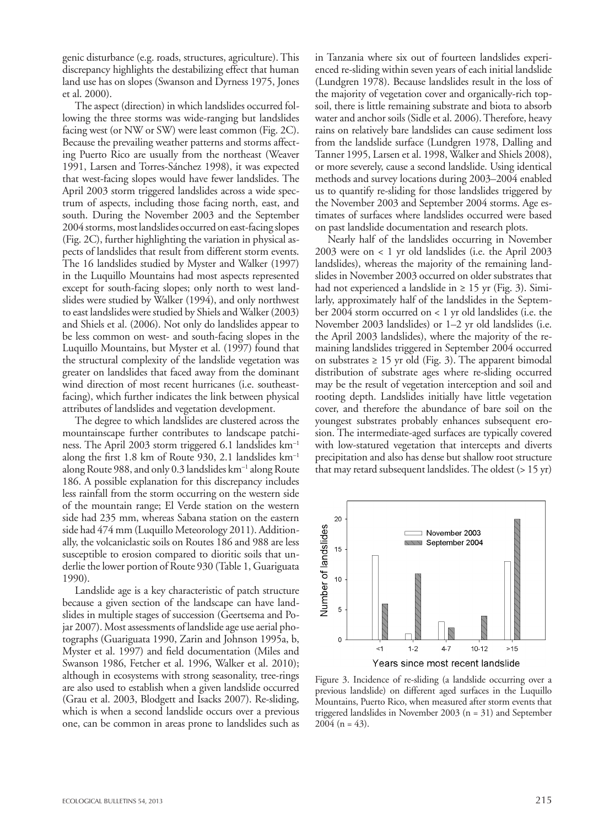genic disturbance (e.g. roads, structures, agriculture). This discrepancy highlights the destabilizing effect that human land use has on slopes (Swanson and Dyrness 1975, Jones et al. 2000).

The aspect (direction) in which landslides occurred following the three storms was wide-ranging but landslides facing west (or NW or SW) were least common (Fig. 2C). Because the prevailing weather patterns and storms affecting Puerto Rico are usually from the northeast (Weaver 1991, Larsen and Torres-Sánchez 1998), it was expected that west-facing slopes would have fewer landslides. The April 2003 storm triggered landslides across a wide spectrum of aspects, including those facing north, east, and south. During the November 2003 and the September 2004 storms, most landslides occurred on east-facing slopes (Fig. 2C), further highlighting the variation in physical aspects of landslides that result from different storm events. The 16 landslides studied by Myster and Walker (1997) in the Luquillo Mountains had most aspects represented except for south-facing slopes; only north to west landslides were studied by Walker (1994), and only northwest to east landslides were studied by Shiels and Walker (2003) and Shiels et al. (2006). Not only do landslides appear to be less common on west- and south-facing slopes in the Luquillo Mountains, but Myster et al. (1997) found that the structural complexity of the landslide vegetation was greater on landslides that faced away from the dominant wind direction of most recent hurricanes (i.e. southeastfacing), which further indicates the link between physical attributes of landslides and vegetation development.

The degree to which landslides are clustered across the mountainscape further contributes to landscape patchiness. The April 2003 storm triggered 6.1 landslides km–1 along the first 1.8 km of Route 930, 2.1 landslides km–1 along Route 988, and only 0.3 landslides km–1 along Route 186. A possible explanation for this discrepancy includes less rainfall from the storm occurring on the western side of the mountain range; El Verde station on the western side had 235 mm, whereas Sabana station on the eastern side had 474 mm (Luquillo Meteorology 2011). Additionally, the volcaniclastic soils on Routes 186 and 988 are less susceptible to erosion compared to dioritic soils that underlie the lower portion of Route 930 (Table 1, Guariguata 1990).

Landslide age is a key characteristic of patch structure because a given section of the landscape can have landslides in multiple stages of succession (Geertsema and Pojar 2007). Most assessments of landslide age use aerial photographs (Guariguata 1990, Zarin and Johnson 1995a, b, Myster et al. 1997) and field documentation (Miles and Swanson 1986, Fetcher et al. 1996, Walker et al. 2010); although in ecosystems with strong seasonality, tree-rings are also used to establish when a given landslide occurred (Grau et al. 2003, Blodgett and Isacks 2007). Re-sliding, which is when a second landslide occurs over a previous one, can be common in areas prone to landslides such as

in Tanzania where six out of fourteen landslides experienced re-sliding within seven years of each initial landslide (Lundgren 1978). Because landslides result in the loss of the majority of vegetation cover and organically-rich topsoil, there is little remaining substrate and biota to absorb water and anchor soils (Sidle et al. 2006). Therefore, heavy rains on relatively bare landslides can cause sediment loss from the landslide surface (Lundgren 1978, Dalling and Tanner 1995, Larsen et al. 1998, Walker and Shiels 2008), or more severely, cause a second landslide. Using identical methods and survey locations during 2003–2004 enabled us to quantify re-sliding for those landslides triggered by the November 2003 and September 2004 storms. Age estimates of surfaces where landslides occurred were based on past landslide documentation and research plots.

Nearly half of the landslides occurring in November 2003 were on < 1 yr old landslides (i.e. the April 2003 landslides), whereas the majority of the remaining landslides in November 2003 occurred on older substrates that had not experienced a landslide in  $\geq 15$  yr (Fig. 3). Similarly, approximately half of the landslides in the September 2004 storm occurred on < 1 yr old landslides (i.e. the November 2003 landslides) or 1–2 yr old landslides (i.e. the April 2003 landslides), where the majority of the remaining landslides triggered in September 2004 occurred on substrates  $\geq 15$  yr old (Fig. 3). The apparent bimodal distribution of substrate ages where re-sliding occurred may be the result of vegetation interception and soil and rooting depth. Landslides initially have little vegetation cover, and therefore the abundance of bare soil on the youngest substrates probably enhances subsequent erosion. The intermediate-aged surfaces are typically covered with low-statured vegetation that intercepts and diverts precipitation and also has dense but shallow root structure that may retard subsequent landslides. The oldest (> 15 yr)



Figure 3. Incidence of re-sliding (a landslide occurring over a previous landslide) on different aged surfaces in the Luquillo Mountains, Puerto Rico, when measured after storm events that triggered landslides in November 2003 (n = 31) and September  $2004$  (n = 43).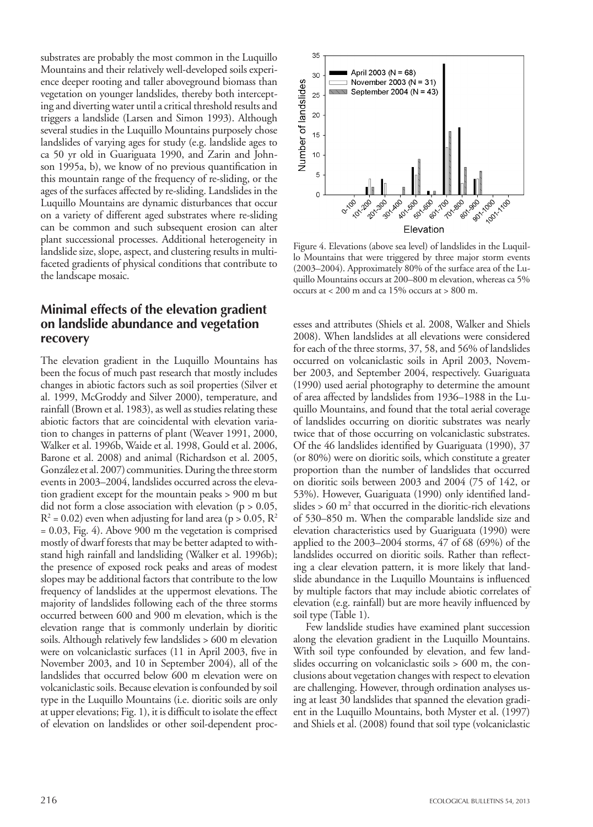substrates are probably the most common in the Luquillo Mountains and their relatively well-developed soils experience deeper rooting and taller aboveground biomass than vegetation on younger landslides, thereby both intercepting and diverting water until a critical threshold results and triggers a landslide (Larsen and Simon 1993). Although several studies in the Luquillo Mountains purposely chose landslides of varying ages for study (e.g. landslide ages to ca 50 yr old in Guariguata 1990, and Zarin and Johnson 1995a, b), we know of no previous quantification in this mountain range of the frequency of re-sliding, or the ages of the surfaces affected by re-sliding. Landslides in the Luquillo Mountains are dynamic disturbances that occur on a variety of different aged substrates where re-sliding can be common and such subsequent erosion can alter plant successional processes. Additional heterogeneity in landslide size, slope, aspect, and clustering results in multifaceted gradients of physical conditions that contribute to the landscape mosaic.

# **Minimal effects of the elevation gradient on landslide abundance and vegetation recovery**

The elevation gradient in the Luquillo Mountains has been the focus of much past research that mostly includes changes in abiotic factors such as soil properties (Silver et al. 1999, McGroddy and Silver 2000), temperature, and rainfall (Brown et al. 1983), as well as studies relating these abiotic factors that are coincidental with elevation variation to changes in patterns of plant (Weaver 1991, 2000, Walker et al. 1996b, Waide et al. 1998, Gould et al. 2006, Barone et al. 2008) and animal (Richardson et al. 2005, González et al. 2007) communities. During the three storm events in 2003–2004, landslides occurred across the elevation gradient except for the mountain peaks > 900 m but did not form a close association with elevation ( $p > 0.05$ ,  $R^2$  = 0.02) even when adjusting for land area (p > 0.05,  $R^2$  $= 0.03$ , Fig. 4). Above 900 m the vegetation is comprised mostly of dwarf forests that may be better adapted to withstand high rainfall and landsliding (Walker et al. 1996b); the presence of exposed rock peaks and areas of modest slopes may be additional factors that contribute to the low frequency of landslides at the uppermost elevations. The majority of landslides following each of the three storms occurred between 600 and 900 m elevation, which is the elevation range that is commonly underlain by dioritic soils. Although relatively few landslides > 600 m elevation were on volcaniclastic surfaces (11 in April 2003, five in November 2003, and 10 in September 2004), all of the landslides that occurred below 600 m elevation were on volcaniclastic soils. Because elevation is confounded by soil type in the Luquillo Mountains (i.e. dioritic soils are only at upper elevations; Fig. 1), it is difficult to isolate the effect of elevation on landslides or other soil-dependent proc-



Figure 4. Elevations (above sea level) of landslides in the Luquillo Mountains that were triggered by three major storm events (2003–2004). Approximately 80% of the surface area of the Luquillo Mountains occurs at 200–800 m elevation, whereas ca 5% occurs at < 200 m and ca 15% occurs at > 800 m.

esses and attributes (Shiels et al. 2008, Walker and Shiels 2008). When landslides at all elevations were considered for each of the three storms, 37, 58, and 56% of landslides occurred on volcaniclastic soils in April 2003, November 2003, and September 2004, respectively. Guariguata (1990) used aerial photography to determine the amount of area affected by landslides from 1936–1988 in the Luquillo Mountains, and found that the total aerial coverage of landslides occurring on dioritic substrates was nearly twice that of those occurring on volcaniclastic substrates. Of the 46 landslides identified by Guariguata (1990), 37 (or 80%) were on dioritic soils, which constitute a greater proportion than the number of landslides that occurred on dioritic soils between 2003 and 2004 (75 of 142, or 53%). However, Guariguata (1990) only identified landslides  $> 60 \text{ m}^2$  that occurred in the dioritic-rich elevations of 530–850 m. When the comparable landslide size and elevation characteristics used by Guariguata (1990) were applied to the 2003–2004 storms, 47 of 68 (69%) of the landslides occurred on dioritic soils. Rather than reflecting a clear elevation pattern, it is more likely that landslide abundance in the Luquillo Mountains is influenced by multiple factors that may include abiotic correlates of elevation (e.g. rainfall) but are more heavily influenced by soil type (Table 1).

Few landslide studies have examined plant succession along the elevation gradient in the Luquillo Mountains. With soil type confounded by elevation, and few landslides occurring on volcaniclastic soils > 600 m, the conclusions about vegetation changes with respect to elevation are challenging. However, through ordination analyses using at least 30 landslides that spanned the elevation gradient in the Luquillo Mountains, both Myster et al. (1997) and Shiels et al. (2008) found that soil type (volcaniclastic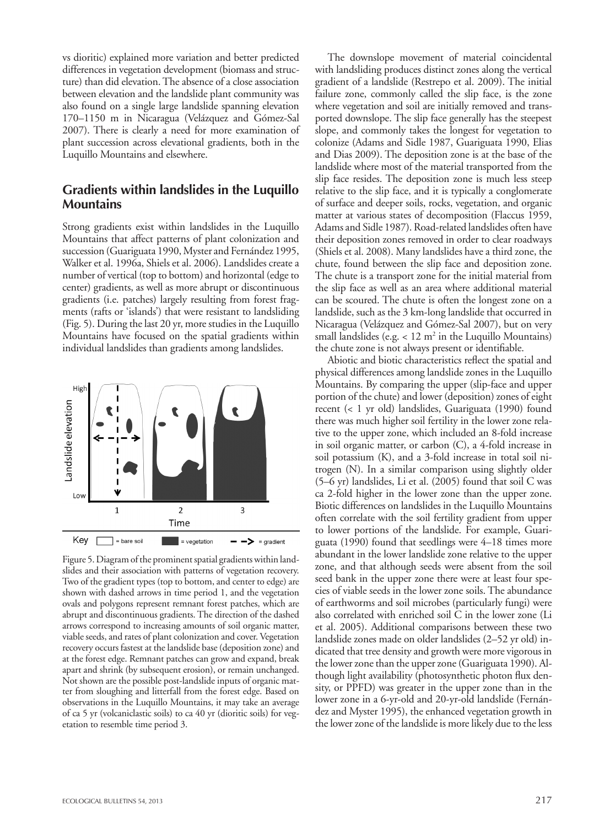vs dioritic) explained more variation and better predicted differences in vegetation development (biomass and structure) than did elevation. The absence of a close association between elevation and the landslide plant community was also found on a single large landslide spanning elevation 170–1150 m in Nicaragua (Velázquez and Gómez-Sal 2007). There is clearly a need for more examination of plant succession across elevational gradients, both in the Luquillo Mountains and elsewhere.

## **Gradients within landslides in the Luquillo Mountains**

Strong gradients exist within landslides in the Luquillo Mountains that affect patterns of plant colonization and succession (Guariguata 1990, Myster and Fernández 1995, Walker et al. 1996a, Shiels et al. 2006). Landslides create a number of vertical (top to bottom) and horizontal (edge to center) gradients, as well as more abrupt or discontinuous gradients (i.e. patches) largely resulting from forest fragments (rafts or 'islands') that were resistant to landsliding (Fig. 5). During the last 20 yr, more studies in the Luquillo Mountains have focused on the spatial gradients within individual landslides than gradients among landslides.



Figure 5. Diagram of the prominent spatial gradients within landslides and their association with patterns of vegetation recovery. Two of the gradient types (top to bottom, and center to edge) are shown with dashed arrows in time period 1, and the vegetation ovals and polygons represent remnant forest patches, which are abrupt and discontinuous gradients. The direction of the dashed arrows correspond to increasing amounts of soil organic matter, viable seeds, and rates of plant colonization and cover. Vegetation recovery occurs fastest at the landslide base (deposition zone) and at the forest edge. Remnant patches can grow and expand, break apart and shrink (by subsequent erosion), or remain unchanged. Not shown are the possible post-landslide inputs of organic matter from sloughing and litterfall from the forest edge. Based on observations in the Luquillo Mountains, it may take an average of ca 5 yr (volcaniclastic soils) to ca 40 yr (dioritic soils) for vegetation to resemble time period 3.

The downslope movement of material coincidental with landsliding produces distinct zones along the vertical gradient of a landslide (Restrepo et al. 2009). The initial failure zone, commonly called the slip face, is the zone where vegetation and soil are initially removed and transported downslope. The slip face generally has the steepest slope, and commonly takes the longest for vegetation to colonize (Adams and Sidle 1987, Guariguata 1990, Elias and Dias 2009). The deposition zone is at the base of the landslide where most of the material transported from the slip face resides. The deposition zone is much less steep relative to the slip face, and it is typically a conglomerate of surface and deeper soils, rocks, vegetation, and organic matter at various states of decomposition (Flaccus 1959, Adams and Sidle 1987). Road-related landslides often have their deposition zones removed in order to clear roadways (Shiels et al. 2008). Many landslides have a third zone, the chute, found between the slip face and deposition zone. The chute is a transport zone for the initial material from the slip face as well as an area where additional material can be scoured. The chute is often the longest zone on a landslide, such as the 3 km-long landslide that occurred in Nicaragua (Velázquez and Gómez-Sal 2007), but on very small landslides (e.g.  $< 12 \text{ m}^2$  in the Luquillo Mountains) the chute zone is not always present or identifiable.

Abiotic and biotic characteristics reflect the spatial and physical differences among landslide zones in the Luquillo Mountains. By comparing the upper (slip-face and upper portion of the chute) and lower (deposition) zones of eight recent (< 1 yr old) landslides, Guariguata (1990) found there was much higher soil fertility in the lower zone relative to the upper zone, which included an 8-fold increase in soil organic matter, or carbon (C), a 4-fold increase in soil potassium (K), and a 3-fold increase in total soil nitrogen (N). In a similar comparison using slightly older (5–6 yr) landslides, Li et al. (2005) found that soil C was ca 2-fold higher in the lower zone than the upper zone. Biotic differences on landslides in the Luquillo Mountains often correlate with the soil fertility gradient from upper to lower portions of the landslide. For example, Guariguata (1990) found that seedlings were 4–18 times more abundant in the lower landslide zone relative to the upper zone, and that although seeds were absent from the soil seed bank in the upper zone there were at least four species of viable seeds in the lower zone soils. The abundance of earthworms and soil microbes (particularly fungi) were also correlated with enriched soil C in the lower zone (Li et al. 2005). Additional comparisons between these two landslide zones made on older landslides (2–52 yr old) indicated that tree density and growth were more vigorous in the lower zone than the upper zone (Guariguata 1990). Although light availability (photosynthetic photon flux density, or PPFD) was greater in the upper zone than in the lower zone in a 6-yr-old and 20-yr-old landslide (Fernández and Myster 1995), the enhanced vegetation growth in the lower zone of the landslide is more likely due to the less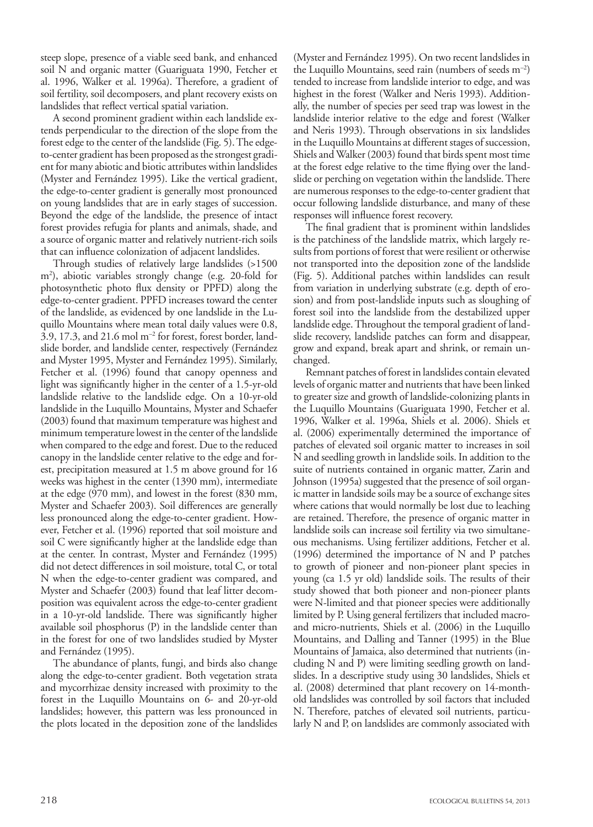steep slope, presence of a viable seed bank, and enhanced soil N and organic matter (Guariguata 1990, Fetcher et al. 1996, Walker et al. 1996a). Therefore, a gradient of soil fertility, soil decomposers, and plant recovery exists on landslides that reflect vertical spatial variation.

A second prominent gradient within each landslide extends perpendicular to the direction of the slope from the forest edge to the center of the landslide (Fig. 5). The edgeto-center gradient has been proposed as the strongest gradient for many abiotic and biotic attributes within landslides (Myster and Fernández 1995). Like the vertical gradient, the edge-to-center gradient is generally most pronounced on young landslides that are in early stages of succession. Beyond the edge of the landslide, the presence of intact forest provides refugia for plants and animals, shade, and a source of organic matter and relatively nutrient-rich soils that can influence colonization of adjacent landslides.

Through studies of relatively large landslides (>1500 m2 ), abiotic variables strongly change (e.g. 20-fold for photosynthetic photo flux density or PPFD) along the edge-to-center gradient. PPFD increases toward the center of the landslide, as evidenced by one landslide in the Luquillo Mountains where mean total daily values were 0.8, 3.9, 17.3, and 21.6 mol m–2 for forest, forest border, landslide border, and landslide center, respectively (Fernández and Myster 1995, Myster and Fernández 1995). Similarly, Fetcher et al. (1996) found that canopy openness and light was significantly higher in the center of a 1.5-yr-old landslide relative to the landslide edge. On a 10-yr-old landslide in the Luquillo Mountains, Myster and Schaefer (2003) found that maximum temperature was highest and minimum temperature lowest in the center of the landslide when compared to the edge and forest. Due to the reduced canopy in the landslide center relative to the edge and forest, precipitation measured at 1.5 m above ground for 16 weeks was highest in the center (1390 mm), intermediate at the edge (970 mm), and lowest in the forest (830 mm, Myster and Schaefer 2003). Soil differences are generally less pronounced along the edge-to-center gradient. However, Fetcher et al. (1996) reported that soil moisture and soil C were significantly higher at the landslide edge than at the center. In contrast, Myster and Fernández (1995) did not detect differences in soil moisture, total C, or total N when the edge-to-center gradient was compared, and Myster and Schaefer (2003) found that leaf litter decomposition was equivalent across the edge-to-center gradient in a 10-yr-old landslide. There was significantly higher available soil phosphorus (P) in the landslide center than in the forest for one of two landslides studied by Myster and Fernández (1995).

The abundance of plants, fungi, and birds also change along the edge-to-center gradient. Both vegetation strata and mycorrhizae density increased with proximity to the forest in the Luquillo Mountains on 6- and 20-yr-old landslides; however, this pattern was less pronounced in the plots located in the deposition zone of the landslides

(Myster and Fernández 1995). On two recent landslides in the Luquillo Mountains, seed rain (numbers of seeds m–2) tended to increase from landslide interior to edge, and was highest in the forest (Walker and Neris 1993). Additionally, the number of species per seed trap was lowest in the landslide interior relative to the edge and forest (Walker and Neris 1993). Through observations in six landslides in the Luquillo Mountains at different stages of succession, Shiels and Walker (2003) found that birds spent most time at the forest edge relative to the time flying over the landslide or perching on vegetation within the landslide. There are numerous responses to the edge-to-center gradient that occur following landslide disturbance, and many of these responses will influence forest recovery.

The final gradient that is prominent within landslides is the patchiness of the landslide matrix, which largely results from portions of forest that were resilient or otherwise not transported into the deposition zone of the landslide (Fig. 5). Additional patches within landslides can result from variation in underlying substrate (e.g. depth of erosion) and from post-landslide inputs such as sloughing of forest soil into the landslide from the destabilized upper landslide edge. Throughout the temporal gradient of landslide recovery, landslide patches can form and disappear, grow and expand, break apart and shrink, or remain unchanged.

Remnant patches of forest in landslides contain elevated levels of organic matter and nutrients that have been linked to greater size and growth of landslide-colonizing plants in the Luquillo Mountains (Guariguata 1990, Fetcher et al. 1996, Walker et al. 1996a, Shiels et al. 2006). Shiels et al. (2006) experimentally determined the importance of patches of elevated soil organic matter to increases in soil N and seedling growth in landslide soils. In addition to the suite of nutrients contained in organic matter, Zarin and Johnson (1995a) suggested that the presence of soil organic matter in landside soils may be a source of exchange sites where cations that would normally be lost due to leaching are retained. Therefore, the presence of organic matter in landslide soils can increase soil fertility via two simultaneous mechanisms. Using fertilizer additions, Fetcher et al. (1996) determined the importance of N and P patches to growth of pioneer and non-pioneer plant species in young (ca 1.5 yr old) landslide soils. The results of their study showed that both pioneer and non-pioneer plants were N-limited and that pioneer species were additionally limited by P. Using general fertilizers that included macroand micro-nutrients, Shiels et al. (2006) in the Luquillo Mountains, and Dalling and Tanner (1995) in the Blue Mountains of Jamaica, also determined that nutrients (including N and P) were limiting seedling growth on landslides. In a descriptive study using 30 landslides, Shiels et al. (2008) determined that plant recovery on 14-monthold landslides was controlled by soil factors that included N. Therefore, patches of elevated soil nutrients, particularly N and P, on landslides are commonly associated with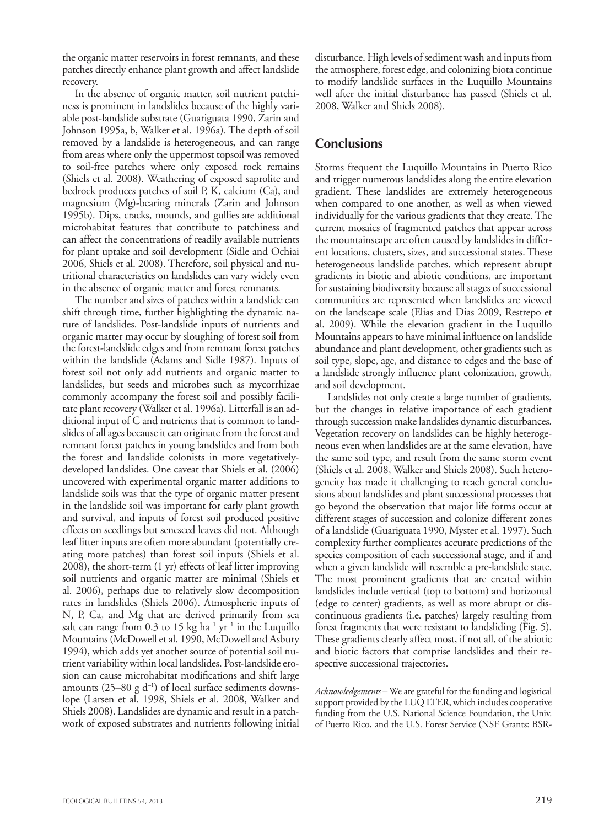the organic matter reservoirs in forest remnants, and these patches directly enhance plant growth and affect landslide recovery.

In the absence of organic matter, soil nutrient patchiness is prominent in landslides because of the highly variable post-landslide substrate (Guariguata 1990, Zarin and Johnson 1995a, b, Walker et al. 1996a). The depth of soil removed by a landslide is heterogeneous, and can range from areas where only the uppermost topsoil was removed to soil-free patches where only exposed rock remains (Shiels et al. 2008). Weathering of exposed saprolite and bedrock produces patches of soil P, K, calcium (Ca), and magnesium (Mg)-bearing minerals (Zarin and Johnson 1995b). Dips, cracks, mounds, and gullies are additional microhabitat features that contribute to patchiness and can affect the concentrations of readily available nutrients for plant uptake and soil development (Sidle and Ochiai 2006, Shiels et al. 2008). Therefore, soil physical and nutritional characteristics on landslides can vary widely even in the absence of organic matter and forest remnants.

The number and sizes of patches within a landslide can shift through time, further highlighting the dynamic nature of landslides. Post-landslide inputs of nutrients and organic matter may occur by sloughing of forest soil from the forest-landslide edges and from remnant forest patches within the landslide (Adams and Sidle 1987). Inputs of forest soil not only add nutrients and organic matter to landslides, but seeds and microbes such as mycorrhizae commonly accompany the forest soil and possibly facilitate plant recovery (Walker et al. 1996a). Litterfall is an additional input of C and nutrients that is common to landslides of all ages because it can originate from the forest and remnant forest patches in young landslides and from both the forest and landslide colonists in more vegetativelydeveloped landslides. One caveat that Shiels et al. (2006) uncovered with experimental organic matter additions to landslide soils was that the type of organic matter present in the landslide soil was important for early plant growth and survival, and inputs of forest soil produced positive effects on seedlings but senesced leaves did not. Although leaf litter inputs are often more abundant (potentially creating more patches) than forest soil inputs (Shiels et al. 2008), the short-term (1 yr) effects of leaf litter improving soil nutrients and organic matter are minimal (Shiels et al. 2006), perhaps due to relatively slow decomposition rates in landslides (Shiels 2006). Atmospheric inputs of N, P, Ca, and Mg that are derived primarily from sea salt can range from 0.3 to 15 kg ha<sup>-1</sup> yr<sup>-1</sup> in the Luquillo Mountains (McDowell et al. 1990, McDowell and Asbury 1994), which adds yet another source of potential soil nutrient variability within local landslides. Post-landslide erosion can cause microhabitat modifications and shift large amounts (25–80 g  $d^{-1}$ ) of local surface sediments downslope (Larsen et al. 1998, Shiels et al. 2008, Walker and Shiels 2008). Landslides are dynamic and result in a patchwork of exposed substrates and nutrients following initial

disturbance. High levels of sediment wash and inputs from the atmosphere, forest edge, and colonizing biota continue to modify landslide surfaces in the Luquillo Mountains well after the initial disturbance has passed (Shiels et al. 2008, Walker and Shiels 2008).

## **Conclusions**

Storms frequent the Luquillo Mountains in Puerto Rico and trigger numerous landslides along the entire elevation gradient. These landslides are extremely heterogeneous when compared to one another, as well as when viewed individually for the various gradients that they create. The current mosaics of fragmented patches that appear across the mountainscape are often caused by landslides in different locations, clusters, sizes, and successional states. These heterogeneous landslide patches, which represent abrupt gradients in biotic and abiotic conditions, are important for sustaining biodiversity because all stages of successional communities are represented when landslides are viewed on the landscape scale (Elias and Dias 2009, Restrepo et al. 2009). While the elevation gradient in the Luquillo Mountains appears to have minimal influence on landslide abundance and plant development, other gradients such as soil type, slope, age, and distance to edges and the base of a landslide strongly influence plant colonization, growth, and soil development.

Landslides not only create a large number of gradients, but the changes in relative importance of each gradient through succession make landslides dynamic disturbances. Vegetation recovery on landslides can be highly heterogeneous even when landslides are at the same elevation, have the same soil type, and result from the same storm event (Shiels et al. 2008, Walker and Shiels 2008). Such heterogeneity has made it challenging to reach general conclusions about landslides and plant successional processes that go beyond the observation that major life forms occur at different stages of succession and colonize different zones of a landslide (Guariguata 1990, Myster et al. 1997). Such complexity further complicates accurate predictions of the species composition of each successional stage, and if and when a given landslide will resemble a pre-landslide state. The most prominent gradients that are created within landslides include vertical (top to bottom) and horizontal (edge to center) gradients, as well as more abrupt or discontinuous gradients (i.e. patches) largely resulting from forest fragments that were resistant to landsliding (Fig. 5). These gradients clearly affect most, if not all, of the abiotic and biotic factors that comprise landslides and their respective successional trajectories.

*Acknowledgements* – We are grateful for the funding and logistical support provided by the LUQ LTER, which includes cooperative funding from the U.S. National Science Foundation, the Univ. of Puerto Rico, and the U.S. Forest Service (NSF Grants: BSR-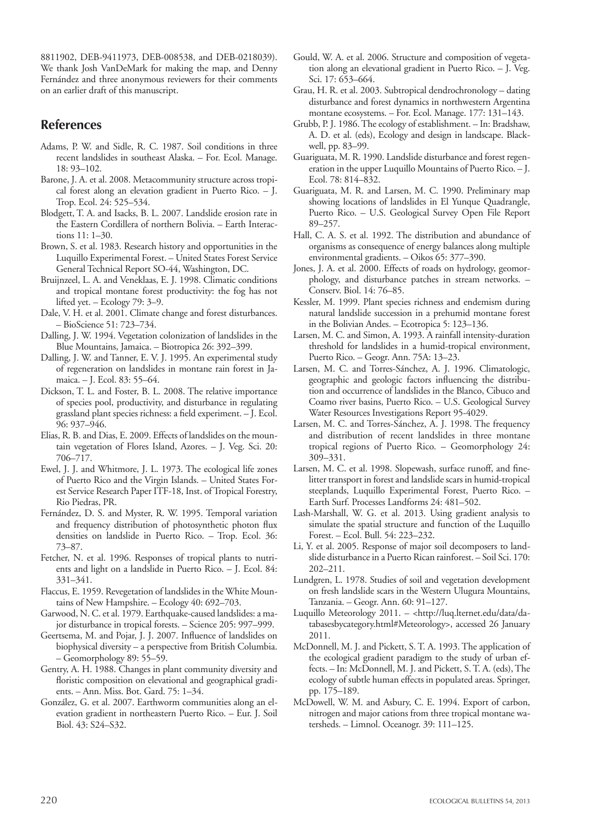8811902, DEB-9411973, DEB-008538, and DEB-0218039). We thank Josh VanDeMark for making the map, and Denny Fernández and three anonymous reviewers for their comments on an earlier draft of this manuscript.

# **References**

- Adams, P. W. and Sidle, R. C. 1987. Soil conditions in three recent landslides in southeast Alaska. – For. Ecol. Manage. 18: 93–102.
- Barone, J. A. et al. 2008. Metacommunity structure across tropical forest along an elevation gradient in Puerto Rico. – J. Trop. Ecol. 24: 525–534.
- Blodgett, T. A. and Isacks, B. L. 2007. Landslide erosion rate in the Eastern Cordillera of northern Bolivia. – Earth Interactions 11: 1–30.
- Brown, S. et al. 1983. Research history and opportunities in the Luquillo Experimental Forest. – United States Forest Service General Technical Report SO-44, Washington, DC.
- Bruijnzeel, L. A. and Veneklaas, E. J. 1998. Climatic conditions and tropical montane forest productivity: the fog has not lifted yet. – Ecology 79: 3–9.
- Dale, V. H. et al. 2001. Climate change and forest disturbances. – BioScience 51: 723–734.
- Dalling, J. W. 1994. Vegetation colonization of landslides in the Blue Mountains, Jamaica. – Biotropica 26: 392–399.
- Dalling, J. W. and Tanner, E. V. J. 1995. An experimental study of regeneration on landslides in montane rain forest in Jamaica. – J. Ecol. 83: 55–64.
- Dickson, T. L. and Foster, B. L. 2008. The relative importance of species pool, productivity, and disturbance in regulating grassland plant species richness: a field experiment. – J. Ecol. 96: 937–946.
- Elias, R. B. and Dias, E. 2009. Effects of landslides on the mountain vegetation of Flores Island, Azores. – J. Veg. Sci. 20: 706–717.
- Ewel, J. J. and Whitmore, J. L. 1973. The ecological life zones of Puerto Rico and the Virgin Islands. – United States Forest Service Research Paper ITF-18, Inst. of Tropical Forestry, Rio Piedras, PR.
- Fernández, D. S. and Myster, R. W. 1995. Temporal variation and frequency distribution of photosynthetic photon flux densities on landslide in Puerto Rico. – Trop. Ecol. 36: 73–87.
- Fetcher, N. et al. 1996. Responses of tropical plants to nutrients and light on a landslide in Puerto Rico. – J. Ecol. 84: 331–341.
- Flaccus, E. 1959. Revegetation of landslides in the White Mountains of New Hampshire. – Ecology 40: 692–703.
- Garwood, N. C. et al. 1979. Earthquake-caused landslides: a major disturbance in tropical forests. – Science 205: 997–999.
- Geertsema, M. and Pojar, J. J. 2007. Influence of landslides on biophysical diversity – a perspective from British Columbia. – Geomorphology 89: 55–59.
- Gentry, A. H. 1988. Changes in plant community diversity and floristic composition on elevational and geographical gradients. – Ann. Miss. Bot. Gard. 75: 1–34.
- González, G. et al. 2007. Earthworm communities along an elevation gradient in northeastern Puerto Rico. – Eur. J. Soil Biol. 43: S24–S32.
- Gould, W. A. et al. 2006. Structure and composition of vegetation along an elevational gradient in Puerto Rico. – J. Veg. Sci. 17: 653–664.
- Grau, H. R. et al. 2003. Subtropical dendrochronology dating disturbance and forest dynamics in northwestern Argentina montane ecosystems. – For. Ecol. Manage. 177: 131–143.
- Grubb, P. J. 1986. The ecology of establishment. In: Bradshaw, A. D. et al. (eds), Ecology and design in landscape. Blackwell, pp. 83–99.
- Guariguata, M. R. 1990. Landslide disturbance and forest regeneration in the upper Luquillo Mountains of Puerto Rico. – J. Ecol. 78: 814–832.
- Guariguata, M. R. and Larsen, M. C. 1990. Preliminary map showing locations of landslides in El Yunque Quadrangle, Puerto Rico. – U.S. Geological Survey Open File Report 89–257.
- Hall, C. A. S. et al. 1992. The distribution and abundance of organisms as consequence of energy balances along multiple environmental gradients. – Oikos 65: 377–390.
- Jones, J. A. et al. 2000. Effects of roads on hydrology, geomorphology, and disturbance patches in stream networks. – Conserv. Biol. 14: 76–85.
- Kessler, M. 1999. Plant species richness and endemism during natural landslide succession in a prehumid montane forest in the Bolivian Andes. – Ecotropica 5: 123–136.
- Larsen, M. C. and Simon, A. 1993. A rainfall intensity-duration threshold for landslides in a humid-tropical environment, Puerto Rico. – Geogr. Ann. 75A: 13–23.
- Larsen, M. C. and Torres-Sánchez, A. J. 1996. Climatologic, geographic and geologic factors influencing the distribution and occurrence of landslides in the Blanco, Cibuco and Coamo river basins, Puerto Rico. – U.S. Geological Survey Water Resources Investigations Report 95-4029.
- Larsen, M. C. and Torres-Sánchez, A. J. 1998. The frequency and distribution of recent landslides in three montane tropical regions of Puerto Rico. – Geomorphology 24: 309–331.
- Larsen, M. C. et al. 1998. Slopewash, surface runoff, and finelitter transport in forest and landslide scars in humid-tropical steeplands, Luquillo Experimental Forest, Puerto Rico. – Earth Surf. Processes Landforms 24: 481–502.
- Lash-Marshall, W. G. et al. 2013. Using gradient analysis to simulate the spatial structure and function of the Luquillo Forest. – Ecol. Bull. 54: 223–232.
- Li, Y. et al. 2005. Response of major soil decomposers to landslide disturbance in a Puerto Rican rainforest. – Soil Sci. 170: 202–211.
- Lundgren, L. 1978. Studies of soil and vegetation development on fresh landslide scars in the Western Ulugura Mountains, Tanzania. – Geogr. Ann. 60: 91–127.
- Luquillo Meteorology 2011. <http://luq.lternet.edu/data/databasesbycategory.html#Meteorology>, accessed 26 January 2011.
- McDonnell, M. J. and Pickett, S. T. A. 1993. The application of the ecological gradient paradigm to the study of urban effects. – In: McDonnell, M. J. and Pickett, S. T. A. (eds), The ecology of subtle human effects in populated areas. Springer, pp. 175–189.
- McDowell, W. M. and Asbury, C. E. 1994. Export of carbon, nitrogen and major cations from three tropical montane watersheds. – Limnol. Oceanogr. 39: 111–125.